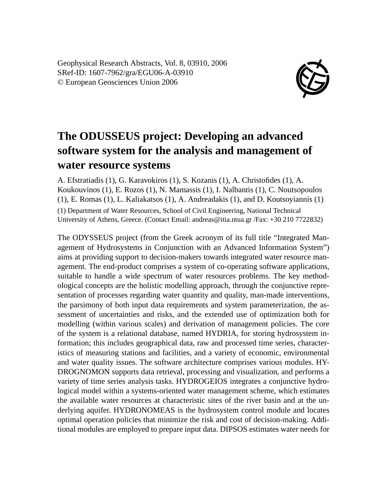Geophysical Research Abstracts, Vol. 8, 03910, 2006 SRef-ID: 1607-7962/gra/EGU06-A-03910 © European Geosciences Union 2006



## **The ODUSSEUS project: Developing an advanced software system for the analysis and management of water resource systems**

A. Efstratiadis (1), G. Karavokiros (1), S. Kozanis (1), A. Christofides (1), A. Koukouvinos (1), E. Rozos (1), N. Mamassis (1), I. Nalbantis (1), C. Noutsopoulos (1), E. Romas (1), L. Kaliakatsos (1), A. Andreadakis (1), and D. Koutsoyiannis (1) (1) Department of Water Resources, School of Civil Engineering, National Technical University of Athens, Greece. (Contact Email: andreas@itia.ntua.gr /Fax: +30 210 7722832)

The ODYSSEUS project (from the Greek acronym of its full title "Integrated Management of Hydrosystems in Conjunction with an Advanced Information System") aims at providing support to decision-makers towards integrated water resource management. The end-product comprises a system of co-operating software applications, suitable to handle a wide spectrum of water resources problems. The key methodological concepts are the holistic modelling approach, through the conjunctive representation of processes regarding water quantity and quality, man-made interventions, the parsimony of both input data requirements and system parameterization, the assessment of uncertainties and risks, and the extended use of optimization both for modelling (within various scales) and derivation of management policies. The core of the system is a relational database, named HYDRIA, for storing hydrosystem information; this includes geographical data, raw and processed time series, characteristics of measuring stations and facilities, and a variety of economic, environmental and water quality issues. The software architecture comprises various modules. HY-DROGNOMON supports data retrieval, processing and visualization, and performs a variety of time series analysis tasks. HYDROGEIOS integrates a conjunctive hydrological model within a systems-oriented water management scheme, which estimates the available water resources at characteristic sites of the river basin and at the underlying aquifer. HYDRONOMEAS is the hydrosystem control module and locates optimal operation policies that minimize the risk and cost of decision-making. Additional modules are employed to prepare input data. DIPSOS estimates water needs for